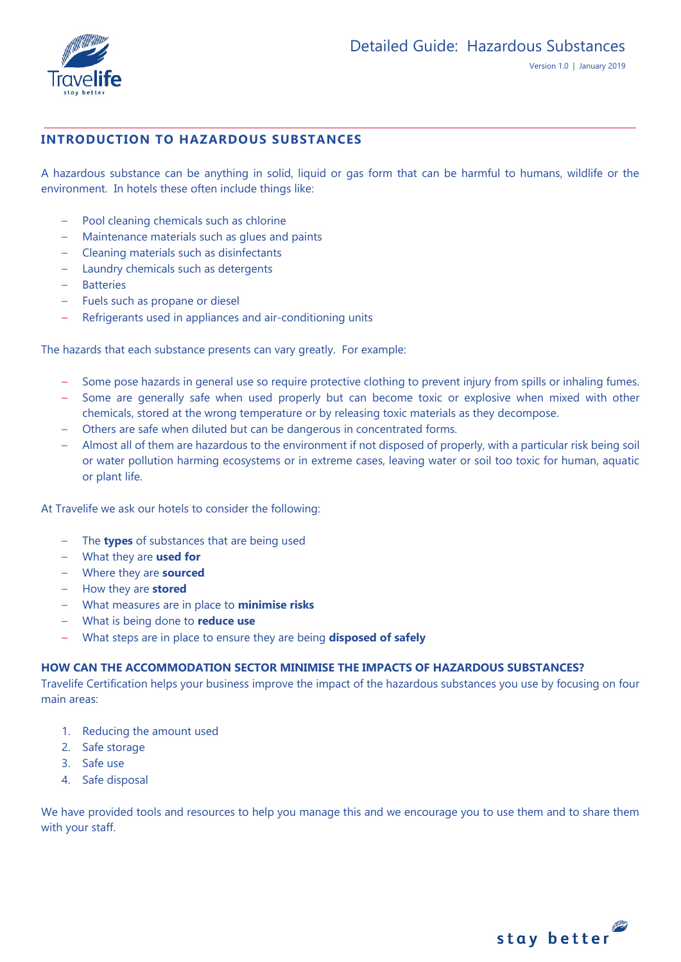

# **INTRODUCTION TO HAZARDOUS SUBSTANCES**

A hazardous substance can be anything in solid, liquid or gas form that can be harmful to humans, wildlife or the environment. In hotels these often include things like:

- Pool cleaning chemicals such as chlorine
- Maintenance materials such as glues and paints
- Cleaning materials such as disinfectants
- Laundry chemicals such as detergents
- Batteries
- Fuels such as propane or diesel
- Refrigerants used in appliances and air-conditioning units

The hazards that each substance presents can vary greatly. For example:

- Some pose hazards in general use so require protective clothing to prevent injury from spills or inhaling fumes.
- Some are generally safe when used properly but can become toxic or explosive when mixed with other chemicals, stored at the wrong temperature or by releasing toxic materials as they decompose.
- Others are safe when diluted but can be dangerous in concentrated forms.
- Almost all of them are hazardous to the environment if not disposed of properly, with a particular risk being soil or water pollution harming ecosystems or in extreme cases, leaving water or soil too toxic for human, aquatic or plant life.

At Travelife we ask our hotels to consider the following:

- The **types** of substances that are being used
- What they are **used for**
- Where they are **sourced**
- How they are **stored**
- What measures are in place to **minimise risks**
- What is being done to **reduce use**
- What steps are in place to ensure they are being **disposed of safely**

# **HOW CAN THE ACCOMMODATION SECTOR MINIMISE THE IMPACTS OF HAZARDOUS SUBSTANCES?**

Travelife Certification helps your business improve the impact of the hazardous substances you use by focusing on four main areas:

- 1. Reducing the amount used
- 2. Safe storage
- 3. Safe use
- 4. Safe disposal

We have provided tools and resources to help you manage this and we encourage you to use them and to share them with your staff.

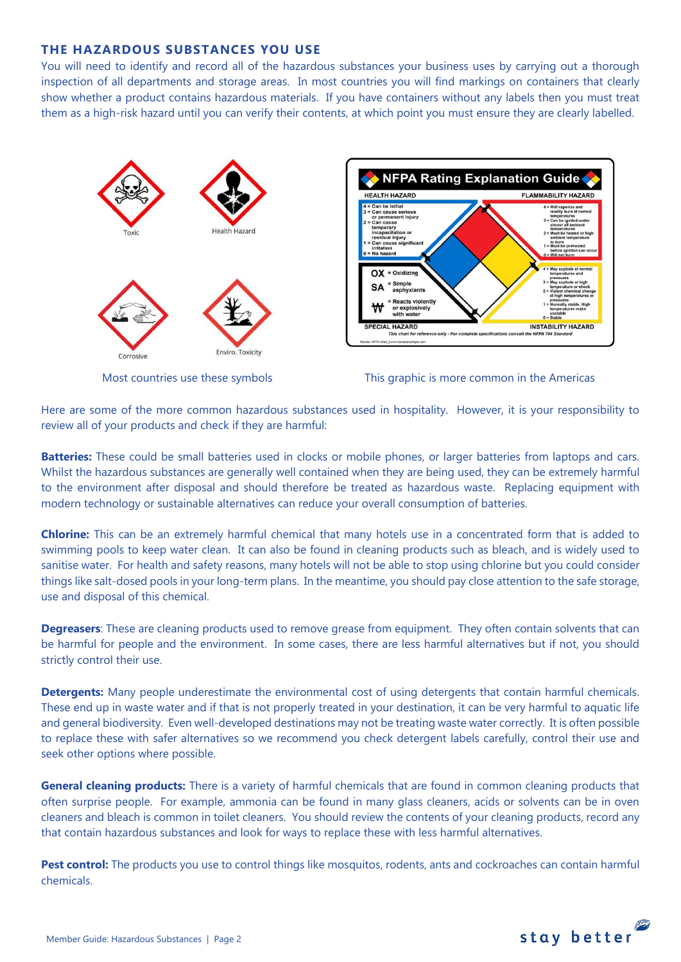### **THE HAZARDOUS SUBSTANCES YOU USE**

You will need to identify and record all of the hazardous substances your business uses by carrying out a thorough inspection of all departments and storage areas. In most countries you will find markings on containers that clearly show whether a product contains hazardous materials. If you have containers without any labels then you must treat them as a high-risk hazard until you can verify their contents, at which point you must ensure they are clearly labelled.







Here are some of the more common hazardous substances used in hospitality. However, it is your responsibility to review all of your products and check if they are harmful:

**Batteries:** These could be small batteries used in clocks or mobile phones, or larger batteries from laptops and cars. Whilst the hazardous substances are generally well contained when they are being used, they can be extremely harmful to the environment after disposal and should therefore be treated as hazardous waste. Replacing equipment with modern technology or sustainable alternatives can reduce your overall consumption of batteries.

**Chlorine:** This can be an extremely harmful chemical that many hotels use in a concentrated form that is added to swimming pools to keep water clean. It can also be found in cleaning products such as bleach, and is widely used to sanitise water. For health and safety reasons, many hotels will not be able to stop using chlorine but you could consider things like salt-dosed pools in your long-term plans. In the meantime, you should pay close attention to the safe storage, use and disposal of this chemical.

**Degreasers**: These are cleaning products used to remove grease from equipment. They often contain solvents that can be harmful for people and the environment. In some cases, there are less harmful alternatives but if not, you should strictly control their use.

**Detergents:** Many people underestimate the environmental cost of using detergents that contain harmful chemicals. These end up in waste water and if that is not properly treated in your destination, it can be very harmful to aquatic life and general biodiversity. Even well-developed destinations may not be treating waste water correctly. It is often possible to replace these with safer alternatives so we recommend you check detergent labels carefully, control their use and seek other options where possible.

**General cleaning products:** There is a variety of harmful chemicals that are found in common cleaning products that often surprise people. For example, ammonia can be found in many glass cleaners, acids or solvents can be in oven cleaners and bleach is common in toilet cleaners. You should review the contents of your cleaning products, record any that contain hazardous substances and look for ways to replace these with less harmful alternatives.

**Pest control:** The products you use to control things like mosquitos, rodents, ants and cockroaches can contain harmful chemicals.

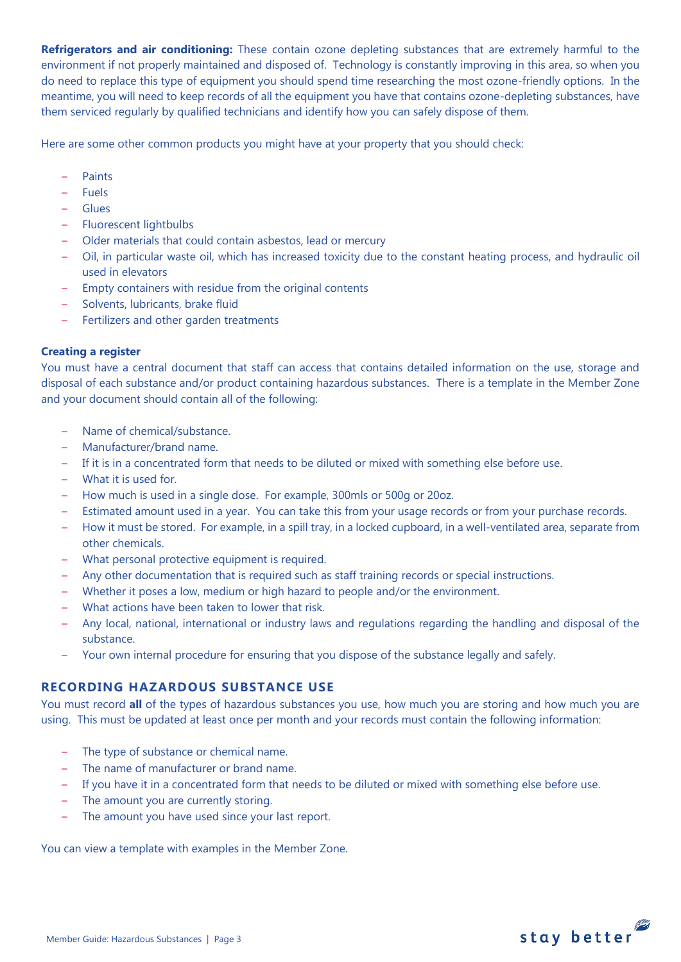**Refrigerators and air conditioning:** These contain ozone depleting substances that are extremely harmful to the environment if not properly maintained and disposed of. Technology is constantly improving in this area, so when you do need to replace this type of equipment you should spend time researching the most ozone-friendly options. In the meantime, you will need to keep records of all the equipment you have that contains ozone-depleting substances, have them serviced regularly by qualified technicians and identify how you can safely dispose of them.

Here are some other common products you might have at your property that you should check:

- Paints
- Fuels
- Glues
- Fluorescent lightbulbs
- Older materials that could contain asbestos, lead or mercury
- Oil, in particular waste oil, which has increased toxicity due to the constant heating process, and hydraulic oil used in elevators
- Empty containers with residue from the original contents
- Solvents, lubricants, brake fluid
- Fertilizers and other garden treatments

### **Creating a register**

You must have a central document that staff can access that contains detailed information on the use, storage and disposal of each substance and/or product containing hazardous substances. There is a template in the Member Zone and your document should contain all of the following:

- Name of chemical/substance.
- Manufacturer/brand name.
- If it is in a concentrated form that needs to be diluted or mixed with something else before use.
- What it is used for.
- How much is used in a single dose. For example, 300mls or 500g or 20oz.
- Estimated amount used in a year. You can take this from your usage records or from your purchase records.
- How it must be stored. For example, in a spill tray, in a locked cupboard, in a well-ventilated area, separate from other chemicals.
- What personal protective equipment is required.
- Any other documentation that is required such as staff training records or special instructions.
- Whether it poses a low, medium or high hazard to people and/or the environment.
- What actions have been taken to lower that risk.
- Any local, national, international or industry laws and regulations regarding the handling and disposal of the substance.
- Your own internal procedure for ensuring that you dispose of the substance legally and safely.

# **RECORDING HAZARDOUS SUBSTANCE USE**

You must record **all** of the types of hazardous substances you use, how much you are storing and how much you are using. This must be updated at least once per month and your records must contain the following information:

- The type of substance or chemical name.
- The name of manufacturer or brand name.
- If you have it in a concentrated form that needs to be diluted or mixed with something else before use.
- The amount you are currently storing.
- The amount you have used since your last report.

You can view a template with examples in the Member Zone.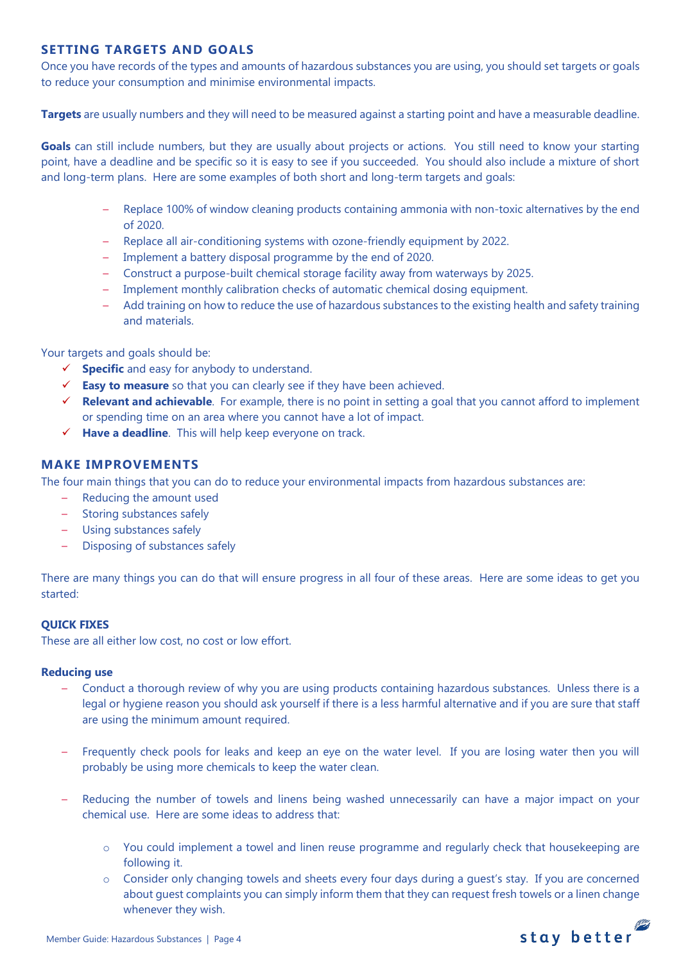# **SETTING TARGETS AND GOALS**

Once you have records of the types and amounts of hazardous substances you are using, you should set targets or goals to reduce your consumption and minimise environmental impacts.

**Targets** are usually numbers and they will need to be measured against a starting point and have a measurable deadline.

**Goals** can still include numbers, but they are usually about projects or actions. You still need to know your starting point, have a deadline and be specific so it is easy to see if you succeeded. You should also include a mixture of short and long-term plans. Here are some examples of both short and long-term targets and goals:

- Replace 100% of window cleaning products containing ammonia with non-toxic alternatives by the end of 2020.
- Replace all air-conditioning systems with ozone-friendly equipment by 2022.
- Implement a battery disposal programme by the end of 2020.
- Construct a purpose-built chemical storage facility away from waterways by 2025.
- Implement monthly calibration checks of automatic chemical dosing equipment.
- Add training on how to reduce the use of hazardous substances to the existing health and safety training and materials.

Your targets and goals should be:

- **Specific** and easy for anybody to understand.
- **Easy to measure** so that you can clearly see if they have been achieved.
- **Relevant and achievable**. For example, there is no point in setting a goal that you cannot afford to implement or spending time on an area where you cannot have a lot of impact.
- **Have a deadline**. This will help keep everyone on track.

#### **MAKE IMPROVEMENTS**

The four main things that you can do to reduce your environmental impacts from hazardous substances are:

- Reducing the amount used
- Storing substances safely
- Using substances safely
- Disposing of substances safely

There are many things you can do that will ensure progress in all four of these areas. Here are some ideas to get you started:

#### **QUICK FIXES**

These are all either low cost, no cost or low effort.

#### **Reducing use**

- Conduct a thorough review of why you are using products containing hazardous substances. Unless there is a legal or hygiene reason you should ask yourself if there is a less harmful alternative and if you are sure that staff are using the minimum amount required.
- Frequently check pools for leaks and keep an eye on the water level. If you are losing water then you will probably be using more chemicals to keep the water clean.
- Reducing the number of towels and linens being washed unnecessarily can have a major impact on your chemical use. Here are some ideas to address that:
	- o You could implement a towel and linen reuse programme and regularly check that housekeeping are following it.
	- $\circ$  Consider only changing towels and sheets every four days during a quest's stay. If you are concerned about guest complaints you can simply inform them that they can request fresh towels or a linen change whenever they wish.

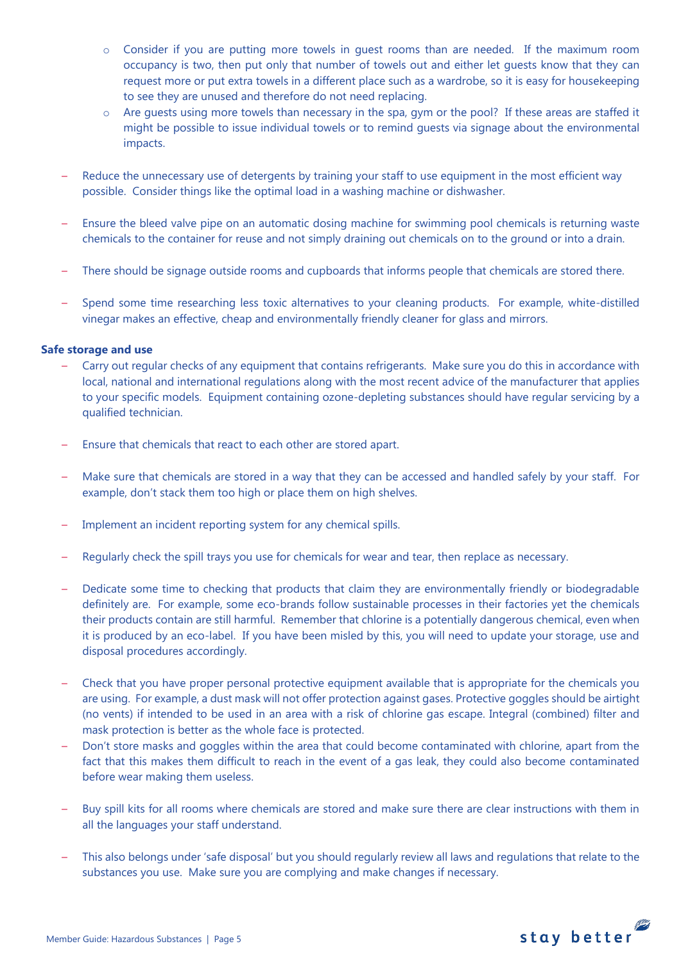- o Consider if you are putting more towels in guest rooms than are needed. If the maximum room occupancy is two, then put only that number of towels out and either let guests know that they can request more or put extra towels in a different place such as a wardrobe, so it is easy for housekeeping to see they are unused and therefore do not need replacing.
- o Are guests using more towels than necessary in the spa, gym or the pool? If these areas are staffed it might be possible to issue individual towels or to remind guests via signage about the environmental impacts.
- Reduce the unnecessary use of detergents by training your staff to use equipment in the most efficient way possible. Consider things like the optimal load in a washing machine or dishwasher.
- Ensure the bleed valve pipe on an automatic dosing machine for swimming pool chemicals is returning waste chemicals to the container for reuse and not simply draining out chemicals on to the ground or into a drain.
- There should be signage outside rooms and cupboards that informs people that chemicals are stored there.
- Spend some time researching less toxic alternatives to your cleaning products. For example, white-distilled vinegar makes an effective, cheap and environmentally friendly cleaner for glass and mirrors.

#### **Safe storage and use**

- Carry out regular checks of any equipment that contains refrigerants. Make sure you do this in accordance with local, national and international regulations along with the most recent advice of the manufacturer that applies to your specific models. Equipment containing ozone-depleting substances should have regular servicing by a qualified technician.
- Ensure that chemicals that react to each other are stored apart.
- Make sure that chemicals are stored in a way that they can be accessed and handled safely by your staff. For example, don't stack them too high or place them on high shelves.
- Implement an incident reporting system for any chemical spills.
- Regularly check the spill trays you use for chemicals for wear and tear, then replace as necessary.
- Dedicate some time to checking that products that claim they are environmentally friendly or biodegradable definitely are. For example, some eco-brands follow sustainable processes in their factories yet the chemicals their products contain are still harmful. Remember that chlorine is a potentially dangerous chemical, even when it is produced by an eco-label. If you have been misled by this, you will need to update your storage, use and disposal procedures accordingly.
- Check that you have proper personal protective equipment available that is appropriate for the chemicals you are using. For example, a dust mask will not offer protection against gases. Protective goggles should be airtight (no vents) if intended to be used in an area with a risk of chlorine gas escape. Integral (combined) filter and mask protection is better as the whole face is protected.
- Don't store masks and goggles within the area that could become contaminated with chlorine, apart from the fact that this makes them difficult to reach in the event of a gas leak, they could also become contaminated before wear making them useless.
- Buy spill kits for all rooms where chemicals are stored and make sure there are clear instructions with them in all the languages your staff understand.
- This also belongs under 'safe disposal' but you should regularly review all laws and regulations that relate to the substances you use. Make sure you are complying and make changes if necessary.

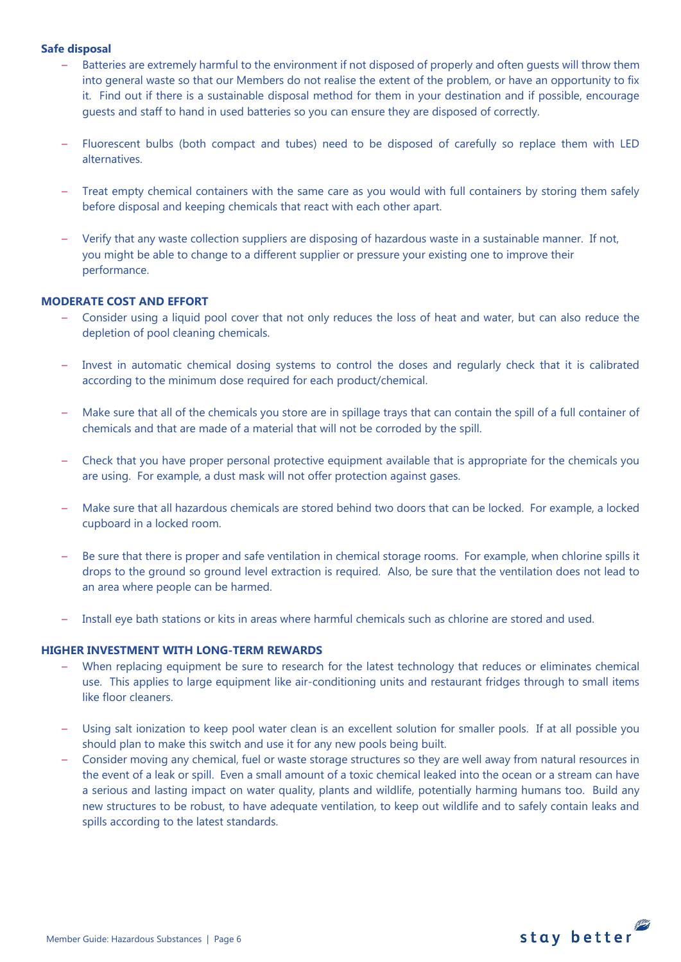#### **Safe disposal**

- Batteries are extremely harmful to the environment if not disposed of properly and often guests will throw them into general waste so that our Members do not realise the extent of the problem, or have an opportunity to fix it. Find out if there is a sustainable disposal method for them in your destination and if possible, encourage guests and staff to hand in used batteries so you can ensure they are disposed of correctly.
- Fluorescent bulbs (both compact and tubes) need to be disposed of carefully so replace them with LED alternatives.
- Treat empty chemical containers with the same care as you would with full containers by storing them safely before disposal and keeping chemicals that react with each other apart.
- Verify that any waste collection suppliers are disposing of hazardous waste in a sustainable manner. If not, you might be able to change to a different supplier or pressure your existing one to improve their performance.

#### **MODERATE COST AND EFFORT**

- Consider using a liquid pool cover that not only reduces the loss of heat and water, but can also reduce the depletion of pool cleaning chemicals.
- Invest in automatic chemical dosing systems to control the doses and regularly check that it is calibrated according to the minimum dose required for each product/chemical.
- Make sure that all of the chemicals you store are in spillage trays that can contain the spill of a full container of chemicals and that are made of a material that will not be corroded by the spill.
- Check that you have proper personal protective equipment available that is appropriate for the chemicals you are using. For example, a dust mask will not offer protection against gases.
- Make sure that all hazardous chemicals are stored behind two doors that can be locked. For example, a locked cupboard in a locked room.
- Be sure that there is proper and safe ventilation in chemical storage rooms. For example, when chlorine spills it drops to the ground so ground level extraction is required. Also, be sure that the ventilation does not lead to an area where people can be harmed.
- Install eye bath stations or kits in areas where harmful chemicals such as chlorine are stored and used.

#### **HIGHER INVESTMENT WITH LONG-TERM REWARDS**

- When replacing equipment be sure to research for the latest technology that reduces or eliminates chemical use. This applies to large equipment like air-conditioning units and restaurant fridges through to small items like floor cleaners.
- Using salt ionization to keep pool water clean is an excellent solution for smaller pools. If at all possible you should plan to make this switch and use it for any new pools being built.
- Consider moving any chemical, fuel or waste storage structures so they are well away from natural resources in the event of a leak or spill. Even a small amount of a toxic chemical leaked into the ocean or a stream can have a serious and lasting impact on water quality, plants and wildlife, potentially harming humans too. Build any new structures to be robust, to have adequate ventilation, to keep out wildlife and to safely contain leaks and spills according to the latest standards.